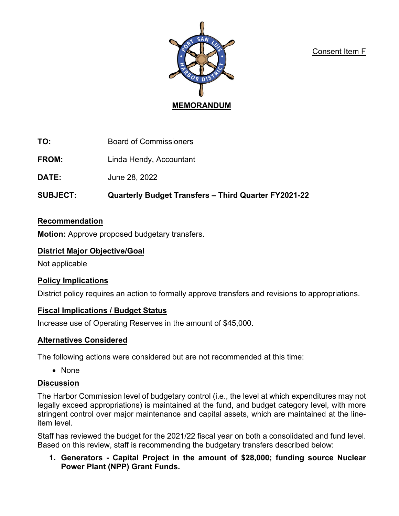Consent Item F



**TO:** Board of Commissioners

**FROM:** Linda Hendy, Accountant

**DATE:** June 28, 2022

**SUBJECT: Quarterly Budget Transfers – Third Quarter FY2021-22** 

# **Recommendation**

**Motion:** Approve proposed budgetary transfers.

## **District Major Objective/Goal**

Not applicable

# **Policy Implications**

District policy requires an action to formally approve transfers and revisions to appropriations.

# **Fiscal Implications / Budget Status**

Increase use of Operating Reserves in the amount of \$45,000.

# **Alternatives Considered**

The following actions were considered but are not recommended at this time:

• None

# **Discussion**

The Harbor Commission level of budgetary control (i.e., the level at which expenditures may not legally exceed appropriations) is maintained at the fund, and budget category level, with more stringent control over major maintenance and capital assets, which are maintained at the lineitem level.

Staff has reviewed the budget for the 2021/22 fiscal year on both a consolidated and fund level. Based on this review, staff is recommending the budgetary transfers described below:

**1. Generators - Capital Project in the amount of \$28,000; funding source Nuclear Power Plant (NPP) Grant Funds.**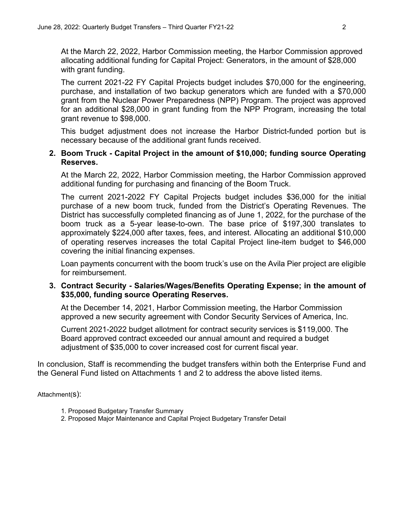At the March 22, 2022, Harbor Commission meeting, the Harbor Commission approved allocating additional funding for Capital Project: Generators, in the amount of \$28,000 with grant funding.

The current 2021-22 FY Capital Projects budget includes \$70,000 for the engineering, purchase, and installation of two backup generators which are funded with a \$70,000 grant from the Nuclear Power Preparedness (NPP) Program. The project was approved for an additional \$28,000 in grant funding from the NPP Program, increasing the total grant revenue to \$98,000.

This budget adjustment does not increase the Harbor District-funded portion but is necessary because of the additional grant funds received.

### **2. Boom Truck - Capital Project in the amount of \$10,000; funding source Operating Reserves.**

At the March 22, 2022, Harbor Commission meeting, the Harbor Commission approved additional funding for purchasing and financing of the Boom Truck.

The current 2021-2022 FY Capital Projects budget includes \$36,000 for the initial purchase of a new boom truck, funded from the District's Operating Revenues. The District has successfully completed financing as of June 1, 2022, for the purchase of the boom truck as a 5-year lease-to-own. The base price of \$197,300 translates to approximately \$224,000 after taxes, fees, and interest. Allocating an additional \$10,000 of operating reserves increases the total Capital Project line-item budget to \$46,000 covering the initial financing expenses.

Loan payments concurrent with the boom truck's use on the Avila Pier project are eligible for reimbursement.

## **3. Contract Security - Salaries/Wages/Benefits Operating Expense; in the amount of \$35,000, funding source Operating Reserves.**

At the December 14, 2021, Harbor Commission meeting, the Harbor Commission approved a new security agreement with Condor Security Services of America, Inc.

Current 2021-2022 budget allotment for contract security services is \$119,000. The Board approved contract exceeded our annual amount and required a budget adjustment of \$35,000 to cover increased cost for current fiscal year.

In conclusion, Staff is recommending the budget transfers within both the Enterprise Fund and the General Fund listed on Attachments 1 and 2 to address the above listed items.

Attachment(s):

- 1. Proposed Budgetary Transfer Summary
- 2. Proposed Major Maintenance and Capital Project Budgetary Transfer Detail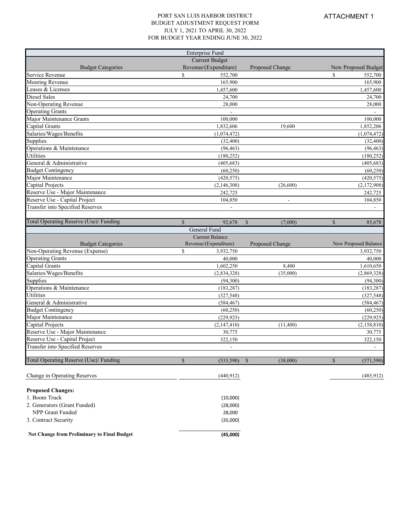#### PORT SAN LUIS HARBOR DISTRICT BUDGET ADJUSTMENT REQUEST FORM JULY 1, 2021 TO APRIL 30, 2022 FOR BUDGET YEAR ENDING JUNE 30, 2022

|                                          | Enterprise Fund            |                           |                            |  |
|------------------------------------------|----------------------------|---------------------------|----------------------------|--|
|                                          | <b>Current Budget</b>      |                           |                            |  |
| <b>Budget Categories</b>                 | Revenue/(Expenditure)      | Proposed Change           | New Proposed Budget        |  |
| Service Revenue                          | \$<br>552,700              |                           | \$<br>552,700              |  |
| Mooring Revenue                          | 165,900                    | 165,900                   |                            |  |
| Leases & Licenses                        | 1,457,600                  | 1,457,600                 |                            |  |
| Diesel Sales                             | 24,700                     | 24,700                    |                            |  |
| Non-Operating Revenue                    | 28,000                     | 28,000                    |                            |  |
| <b>Operating Grants</b>                  |                            |                           |                            |  |
| Major Maintenance Grants                 | 100,000                    | 100,000                   |                            |  |
| Capital Grants                           | 1,832,606<br>19.600        |                           | 1,852,206                  |  |
| Salaries/Wages/Benefits                  | (1,074,472)                | (1,074,472)               |                            |  |
| Supplies                                 | (32, 400)                  | (32, 400)                 |                            |  |
| Operations & Maintenance                 | (96, 463)                  |                           | (96, 463)                  |  |
| Utilities                                | (180, 252)                 |                           | (180, 252)                 |  |
| General & Administrative                 | (405, 683)                 |                           | (405, 683)                 |  |
| <b>Budget Contingency</b>                | (60, 250)                  |                           | (60, 250)                  |  |
| Major Maintenance                        | (420, 575)                 |                           | (420, 575)                 |  |
| Capital Projects                         | (2,146,308)                | (26,600)                  | (2,172,908)                |  |
| Reserve Use - Major Maintenance          | 242,725                    |                           | 242,725                    |  |
| Reserve Use - Capital Project            | 104,850                    |                           | 104,850                    |  |
| Transfer into Specified Reserves         |                            |                           |                            |  |
|                                          |                            |                           |                            |  |
| Total Operating Reserve (Use)/ Funding   | $\mathbf S$<br>92,678      | $\mathcal{S}$<br>(7,000)  | $\mathbb{S}$<br>85,678     |  |
|                                          | General Fund               |                           |                            |  |
|                                          | <b>Current Balance</b>     |                           |                            |  |
|                                          |                            |                           |                            |  |
| <b>Budget Categories</b>                 | Revenue/(Expenditure)      | Proposed Change           | New Proposed Balance       |  |
| Non-Operating Revenue (Expense)          | $\mathbf S$<br>3,932,750   |                           | 3,932,750                  |  |
| <b>Operating Grants</b>                  | 40,000                     |                           | 40,000                     |  |
| Capital Grants                           | 1,602,250                  | 8,400                     | 1,610,650                  |  |
| Salaries/Wages/Benefits                  | (2,834,328)                | (35,000)                  | (2,869,328)                |  |
| Supplies                                 | (94, 300)                  |                           | (94,300)                   |  |
| Operations & Maintenance                 | (183, 287)                 |                           | (183, 287)                 |  |
| Utilities                                | (327, 548)                 |                           | (327, 548)                 |  |
| General & Administrative                 | (584, 467)                 |                           | (584, 467)                 |  |
| <b>Budget Contingency</b>                | (60, 250)                  |                           | (60, 250)                  |  |
| Major Maintenance                        | (229, 925)                 |                           | (229, 925)                 |  |
| Capital Projects                         | (2,147,410)                | (11,400)                  | (2,158,810)                |  |
| Reserve Use - Major Maintenance          | 30,775                     |                           | 30,775                     |  |
| Reserve Use - Capital Project            | 322,150                    |                           | 322,150                    |  |
| Transfer into Specified Reserves         |                            |                           |                            |  |
|                                          |                            |                           |                            |  |
| Total Operating Reserve (Use)/ Funding   | $\mathbb{S}$<br>(533, 590) | $\mathcal{S}$<br>(38,000) | $\mathbb{S}$<br>(571, 590) |  |
|                                          |                            |                           |                            |  |
| Change in Operating Reserves             | (440, 912)                 |                           | (485, 912)                 |  |
|                                          |                            |                           |                            |  |
| <b>Proposed Changes:</b>                 |                            |                           |                            |  |
| 1. Boom Truck                            | (10,000)                   |                           |                            |  |
| 2. Generators (Grant Funded)             | (28,000)                   |                           |                            |  |
| NPP Grant Funded<br>3. Contract Security | 28,000<br>(35,000)         |                           |                            |  |

**Net Change from Preliminary to Final Budget (45,000)**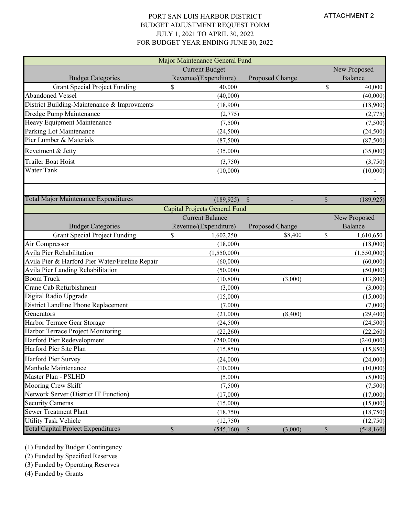#### PORT SAN LUIS HARBOR DISTRICT BUDGET ADJUSTMENT REQUEST FORM JULY 1, 2021 TO APRIL 30, 2022 FOR BUDGET YEAR ENDING JUNE 30, 2022

| Major Maintenance General Fund                  |                                      |                        |              |                              |  |  |
|-------------------------------------------------|--------------------------------------|------------------------|--------------|------------------------------|--|--|
|                                                 | <b>Current Budget</b>                |                        |              | New Proposed                 |  |  |
| <b>Budget Categories</b>                        | Revenue/(Expenditure)                | Proposed Change        |              | Balance                      |  |  |
| <b>Grant Special Project Funding</b>            | 40,000<br>\$                         |                        | \$           | 40,000                       |  |  |
| <b>Abandoned Vessel</b>                         | (40,000)                             |                        |              |                              |  |  |
| District Building-Maintenance & Improvments     | (18,900)                             |                        | (18,900)     |                              |  |  |
| Dredge Pump Maintenance                         | (2,775)                              |                        |              | (2,775)                      |  |  |
| Heavy Equipment Maintenance                     | (7,500)                              |                        |              | (7,500)                      |  |  |
| Parking Lot Maintenance                         | (24,500)                             |                        |              | (24,500)                     |  |  |
| Pier Lumber & Materials                         | (87,500)                             |                        |              | (87,500)                     |  |  |
| Revetment & Jetty                               | (35,000)                             |                        |              | (35,000)                     |  |  |
| Trailer Boat Hoist                              | (3,750)                              |                        |              | (3,750)                      |  |  |
| Water Tank                                      | (10,000)                             |                        |              | (10,000)                     |  |  |
|                                                 |                                      |                        |              | $\qquad \qquad \blacksquare$ |  |  |
|                                                 |                                      |                        |              | $\overline{\phantom{a}}$     |  |  |
| Total Major Maintenance Expenditures            | (189, 925)                           | $\mathcal{S}$          | $\mathbb{S}$ | (189, 925)                   |  |  |
|                                                 | <b>Capital Projects General Fund</b> |                        |              |                              |  |  |
|                                                 | <b>Current Balance</b>               |                        |              | New Proposed                 |  |  |
| <b>Budget Categories</b>                        | Revenue/(Expenditure)                | Proposed Change        |              | Balance                      |  |  |
| <b>Grant Special Project Funding</b>            | \$<br>1,602,250                      | \$8,400                | \$           | 1,610,650                    |  |  |
| Air Compressor                                  | (18,000)                             |                        |              | (18,000)                     |  |  |
| Avila Pier Rehabilitation                       | (1,550,000)                          |                        |              | (1,550,000)                  |  |  |
| Avila Pier & Harford Pier Water/Fireline Repair | (60,000)                             |                        |              | (60,000)                     |  |  |
| Avila Pier Landing Rehabilitation               | (50,000)                             |                        |              | (50,000)                     |  |  |
| <b>Boom Truck</b>                               | (10, 800)                            | (3,000)                |              | (13,800)                     |  |  |
| Crane Cab Refurbishment                         | (3,000)                              |                        |              | (3,000)                      |  |  |
| Digital Radio Upgrade                           | (15,000)                             |                        |              | (15,000)                     |  |  |
| District Landline Phone Replacement             | (7,000)                              |                        |              | (7,000)                      |  |  |
| Generators                                      | (21,000)                             | (8,400)                |              | (29, 400)                    |  |  |
| Harbor Terrace Gear Storage                     | (24,500)                             |                        |              | (24,500)                     |  |  |
| Harbor Terrace Project Monitoring               | (22,260)                             |                        |              | (22,260)                     |  |  |
| Harford Pier Redevelopment                      | (240,000)                            |                        |              | (240,000)                    |  |  |
| Harford Pier Site Plan                          | (15, 850)                            |                        |              | (15, 850)                    |  |  |
| Harford Pier Survey                             | (24,000)                             |                        |              | (24,000)                     |  |  |
| Manhole Maintenance                             | (10,000)                             |                        |              | (10,000)                     |  |  |
| Master Plan - PSLHD                             | (5,000)                              |                        |              | (5,000)                      |  |  |
| Mooring Crew Skiff                              | (7,500)                              |                        |              | (7,500)                      |  |  |
| Network Server (District IT Function)           | (17,000)                             |                        |              | (17,000)                     |  |  |
| <b>Security Cameras</b>                         | (15,000)                             |                        |              | (15,000)                     |  |  |
| <b>Sewer Treatment Plant</b>                    | (18,750)                             |                        |              | (18,750)                     |  |  |
| <b>Utility Task Vehicle</b>                     | (12,750)                             |                        |              | (12,750)                     |  |  |
| <b>Total Capital Project Expenditures</b>       | \$<br>(545,160)                      | $\mathbb S$<br>(3,000) | \$           | (548, 160)                   |  |  |

(1) Funded by Budget Contingency

(2) Funded by Specified Reserves

(3) Funded by Operating Reserves

(4) Funded by Grants